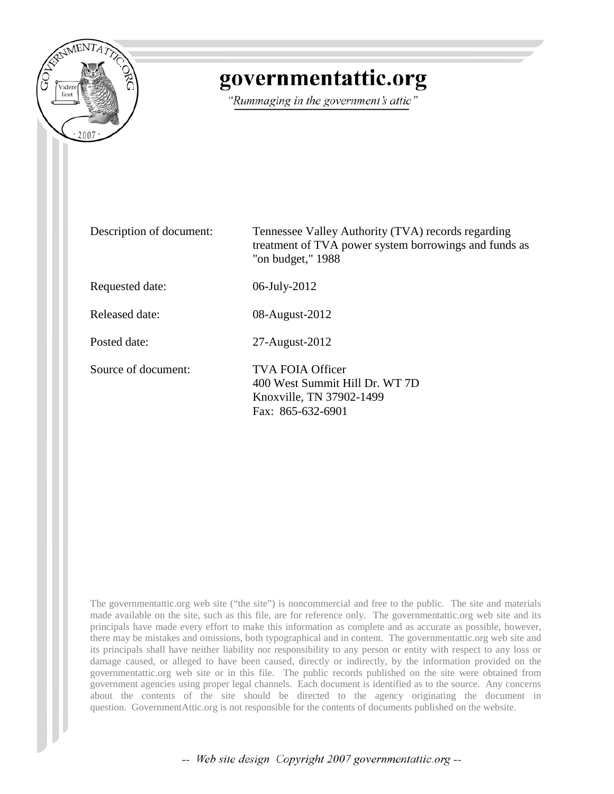

# governmentattic.org

"Rummaging in the government's attic"

| Description of document: | Tennessee Valley Authority (TVA) records regarding<br>treatment of TVA power system borrowings and funds as<br>"on budget," $1988$ |
|--------------------------|------------------------------------------------------------------------------------------------------------------------------------|
| Requested date:          | 06-July-2012                                                                                                                       |
| Released date:           | 08-August-2012                                                                                                                     |
| Posted date:             | 27-August-2012                                                                                                                     |
| Source of document:      | TVA FOIA Officer<br>400 West Summit Hill Dr. WT 7D<br>Knoxville, TN 37902-1499<br>Fax: 865-632-6901                                |

The governmentattic.org web site ("the site") is noncommercial and free to the public. The site and materials made available on the site, such as this file, are for reference only. The governmentattic.org web site and its principals have made every effort to make this information as complete and as accurate as possible, however, there may be mistakes and omissions, both typographical and in content. The governmentattic.org web site and its principals shall have neither liability nor responsibility to any person or entity with respect to any loss or damage caused, or alleged to have been caused, directly or indirectly, by the information provided on the governmentattic.org web site or in this file. The public records published on the site were obtained from government agencies using proper legal channels. Each document is identified as to the source. Any concerns about the contents of the site should be directed to the agency originating the document in question. GovernmentAttic.org is not responsible for the contents of documents published on the website.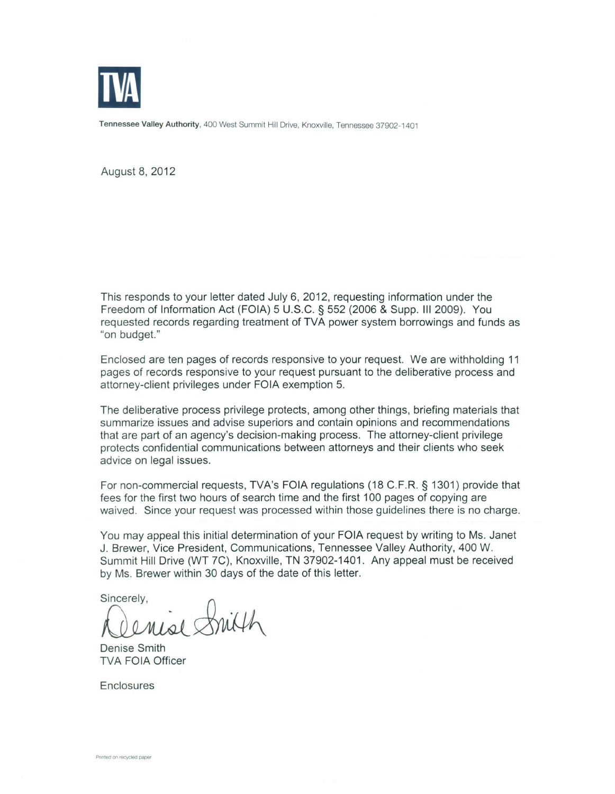

Tennessee Valley Authority, 400 West Summit Hill Drive, Knoxville, Tennessee 37902-1401

August 8, 2012

This responds to your letter dated July 6, 2012, requesting information under the Freedom of Information Act (FOIA) 5 U.S.C. § 552 (2006 & Supp. Ill 2009). You requested records regarding treatment of TVA power system borrowings and funds as "on budget."

Enclosed are ten pages of records responsive to your request. We are withholding 11 pages of records responsive to your request pursuant to the deliberative process and attorney-client privileges under FOIA exemption 5.

The deliberative process privilege protects, among other things, briefing materials that summarize issues and advise superiors and contain opinions and recommendations that are part of an agency's decision-making process. The attorney-client privilege protects confidential communications between attorneys and their clients who seek advice on legal issues.

For non-commercial requests, TVA's FOIA regulations (18 C.F.R. § 1301) provide that fees for the first two hours of search time and the first 100 pages of copying are waived. Since your request was processed within those guidelines there is no charge.

You may appeal this initial determination of your FOIA request by writing to Ms. Janet J. Brewer, Vice President, Communications, Tennessee Valley Authority, 400 W. Summit Hill Drive (WT 7C), Knoxville, TN 37902-1401. Any appeal must be received by Ms. Brewer within 30 days of the date of this letter.

by Ms. Brewer within 30 days of the date of this lett<br>Sincerely,<br>COMISL SMILH

TVA FOIA Officer

**Enclosures**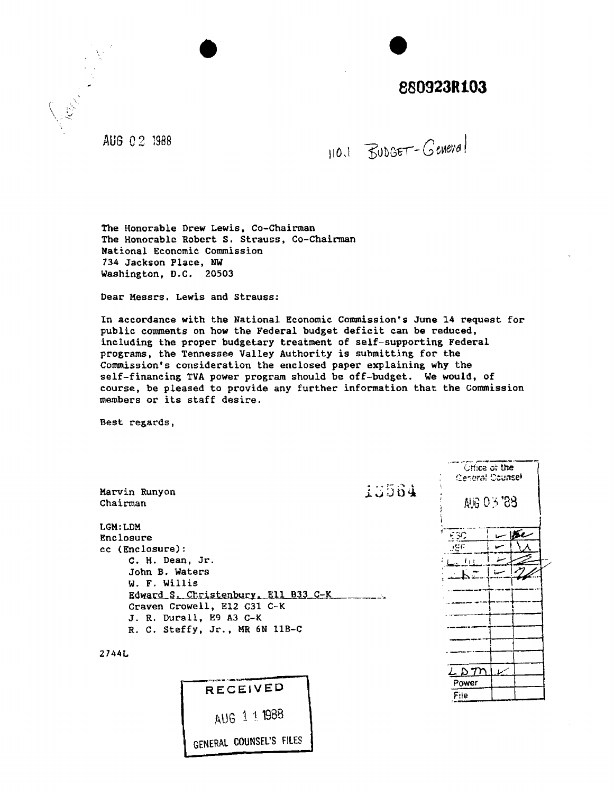# **880923R103**

AUG 0 2 1998

 $110.1$  BUDGET-Geneval

The Honorable Drew Lewis, Co-Chairman The Honorable Robert S. Strauss, Co-Chairman National Economic Commission 734 Jackson Place, NW Washington, D.C. 20503

Dear Messrs. Lewis and strauss:

In accordance with the National Economic Commission's June 14 request for public comments on bow the Federal budget deficit can be reduced, including the proper budgetary treatment of self-supporting Federal programs, the Tennessee Valley Authority is submitting for the Commission's consideration the enclosed paper explaining why the self-financing TVA power program should be off-budget. We would, of course, be pleased to provide any further information that the Commission members or its staff desire.

Best regards,

| 13564<br>Marvin Runyon<br>Chairman                                                            |                                                                                                                                 | Gritca of the<br>Ceneral Counsel<br><b>AIG 0 3 '88</b> |                                   |  |
|-----------------------------------------------------------------------------------------------|---------------------------------------------------------------------------------------------------------------------------------|--------------------------------------------------------|-----------------------------------|--|
| LGM: LDM<br>Enclosure<br>cc (Enclosure):<br>C. H. Dean, Jr.<br>John B. Waters<br>W. F. Willis | Edward S. Christenbury, Ell B33 C-K<br>Craven Crowell, E12 C31 C-K<br>J. R. Durall, E9 A3 C-K<br>R. C. Steffy, Jr., MR 6N 11B-C |                                                        | $-15c$<br>ESC<br>99 P<br>ة 1 أسمت |  |
| 2744L                                                                                         | <b>RECEIVED</b><br>AUG 1 1 1988<br>GENERAL COUNSEL'S FILES                                                                      |                                                        | - P M<br>سمعا<br>Power<br>File    |  |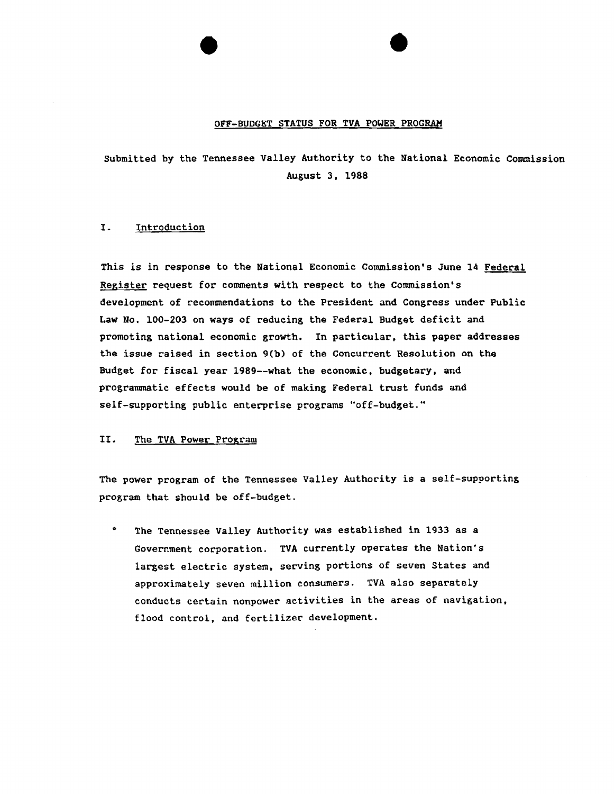#### OFF-BUDGET STATUS FOR TVA POWER PROGRAM

submitted by the Tennessee Valley Authority to the National Economic Commission August 3, 1988

#### I. Introduction

This is in response to the National Economic Commission's June 14 Federal Register request for comments with respect to the Commission's development of recommendations to the President and Congress under Public Law *No.* 100-203 on ways of reducing the Federal Budget deficit and promoting national economic growth. In particular, this paper addresses the issue raised in section 9(b) of the Concurrent Resolution on the Budget for fiscal year 1989--what the economic, budgetary, and programmatic effects would be of making Federal trust funds and self-supporting public enterprise programs "off-budget."

#### II. The TVA Power Program

The power program of the Tennessee Valley Authority is a self-supporting program that should be off-budget.

The Tennessee Valley Authority was established in 1933 as a Government corporation. TVA currently operates the Nation's largest electric system, serving portions of seven States and approximately seven million consumers. TVA also separately conducts certain nonpower activities in the areas of navigation, flood control, and fertilizer development.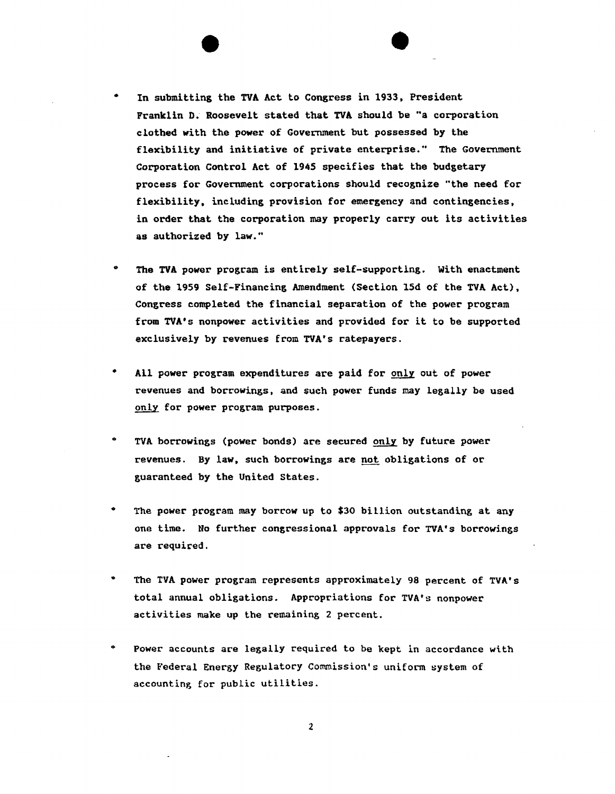- In submitting the TVA Act to Congress in 1933, President Franklin D. Roosevelt stated that TVA should be "a corporation clothed with the power of Government but possessed by the flexibility and initiative of private enterprise." The Government Corporation Control Act of 1945 specifies that the budgetary process for Government corporations should recognize "the need for flexibility, including provision for emergency and contingencies. in order that the corporation may properly carry out its activities as authorized by law."
- .. The TVA power program is entirely self-supporting. With enactment of the 1959 Self-Financing Amendment (Section 15d of the TVA Act), Congress completed the financial separation of the power program from TVA's nonpower activities and provided for it to be supported exclusively by revenues from TVA's ratepayers.
- All power program expenditures are paid for only out of power revenues and borrowings, and such power funds may legally be used only for power program purposes.
- $\bullet$ TVA borrowings (power bonds) are secured only by future power revenues. By law, such borrowings are not obligations of or guaranteed by the United States.
- .. The power program may borrow up to \$30 billion outstanding at any one time. No further congressional approvals for TVA's borrowings are required.
- $\bullet$ The TVA power program represents approximately 98 percent of TVA's total annual obligations. Appropriations for TVA's nonpower activities make up the remaining 2 percent.
- $\bullet$ Power accounts are legally required to be kept in accordance with the Federal Energy Regulatory Commission's uniform system of accounting for public utilities.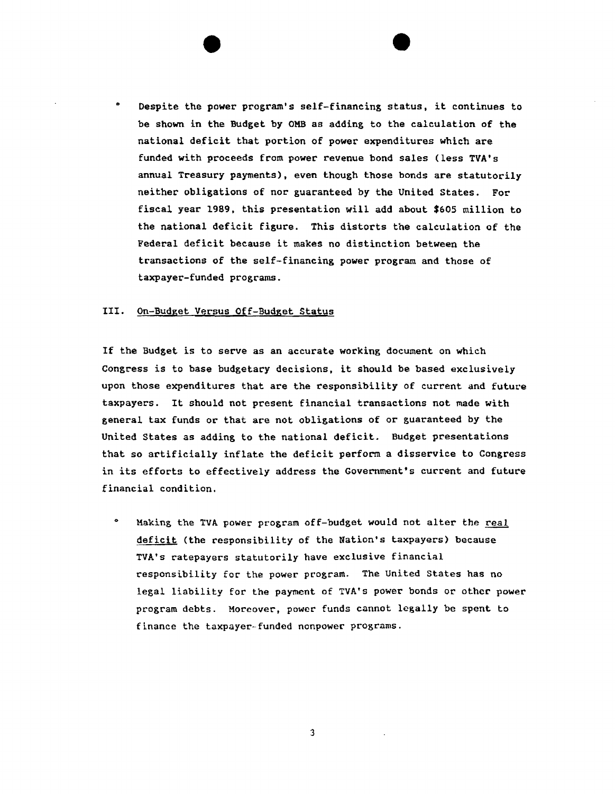Despite the power program's self-financing status, it continues to be shown in the Budget by OMB as adding to the calculation of the national deficit that portion of power expenditures which are funded with proceeds from power revenue bond sales (less TVA's annual Treasury payments), even though those bonds are statutorily neither obligations of nor guaranteed by the United States. For fiscal year 1989, this presentation will add about \$605 million to the national deficit figure. This distorts the calculation of the Federal deficit because it makes no distinction between the transactions of the self-financing power program and those of taxpayer-funded programs.

#### III. On-Budget Versus Off-Budget Status

If the Budget is to serve as an accurate working document on which Congress is to base budgetary decisions, it should be based exclusively upon those expenditures that are the responsibility of current and future taxpayers. It should not present financial transactions not made with general tax funds or that are not obligations of or guaranteed by the United States as adding to the national deficit. Budget presentations that so artificially inflate the deficit perform a disservice to Congress in its efforts to effectively address the Government's current and future financial condition.

0 Making the TVA power program off-budget would not alter the real deficit (the responsibility of the Nation's taxpayers) because TVA's ratepayers statutorily have exclusive financial responsibility for the power program. The United States has no legal liability for the payment of TVA•s power bonds or other power program debts. Moreover, power funds cannot legally be spent to finance the taxpayer-funded nonpower programs.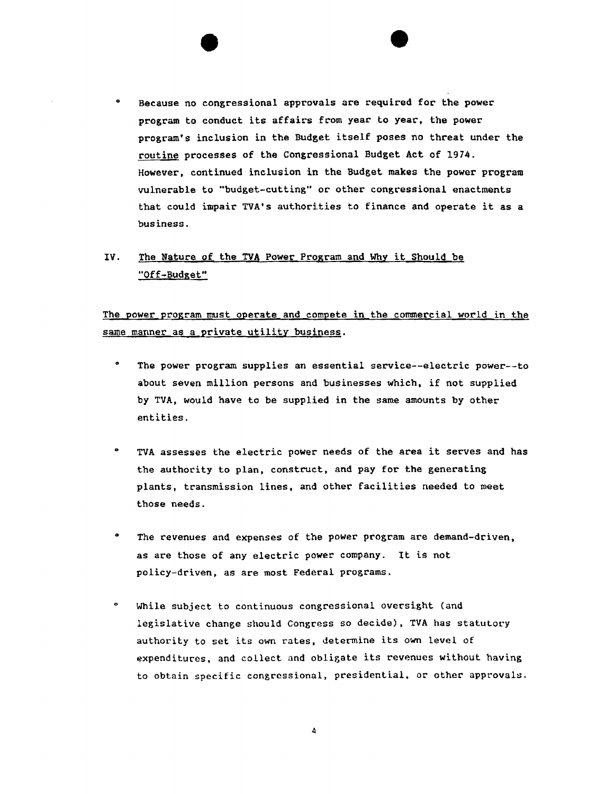0 Because no congressional approvals are required for the power program to conduct its affairs from year to year, the power program's inclusion in the Budget itself poses no threat under the routine processes of the Congressional Budget Act of 1974. However, continued inclusion in the Budget makes the power program vulnerable to "budget-cutting" or other congressional enactments that could impair TVA's authorities to finance and operate it as a business.

### IV. The Nature of the TVA Power Program and Why it Should be "Off-Budget"

The power program must operate and compete in the commercial world in the same manner as a private utility business.

- 0 The power program supplies an essential service--electric power--to about seven million persons and businesses which. if not supplied by TVA, would have to be supplied in the same amounts by other entities.
- 0 TVA assesses the electric power needs of the area it serves and has the authority to plan, construct, and pay for the generating plants, transmission lines, and other facilities needed to meet those needs.
- 0 The revenues and expenses of the power program are demand-driven, as are those of any electric power company. It is not policy-driven, as are most Federal programs.
- $\bullet$ While subject to continuous congressional oversight (and legislative change should Congress so decide), TVA has statutory authority to set its own rates, determine its own level of  $e$ xpenditures, and collect and obligate its revenues without having to obtain specific congressional, presidential, or other approvals.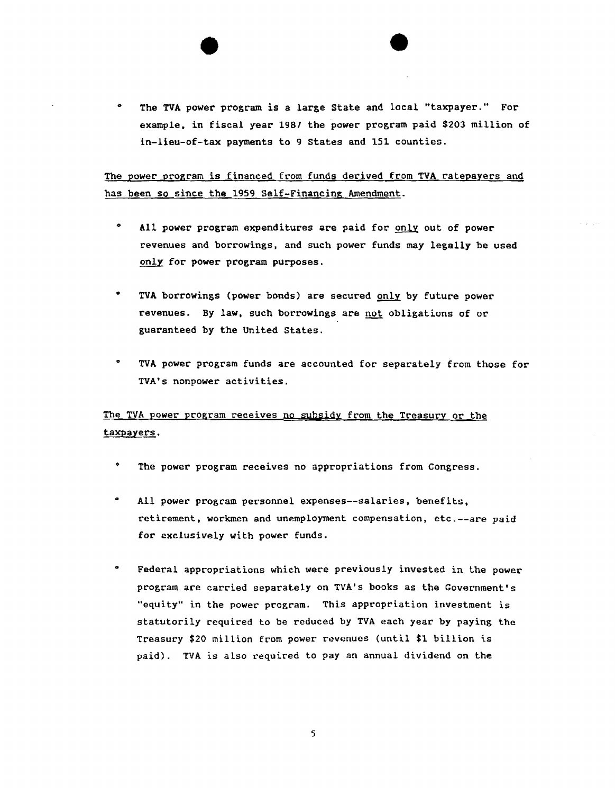The TVA power program is a large State and local "taxpayer." For example, in fiscal year 1987 the power program paid \$203 million of in-lieu-of-tax payments to 9 States and 151 counties.

The power program is financed from funds derived from TVA ratepayers and has been so since the 1959 Self-Financing Amendment.

- $\bullet$ All power program expenditures are paid for only out of power revenues and borrowings, and such power funds may legally be used only for power program purposes.
- TVA borrowings (power bonds) are secured only by future power revenues. By law, such borrowings are not obligations of or guaranteed by the United States.
- $\bullet$ TVA power program funds are accounted for separately from those for TVA's nonpower activities.

The TVA power program receives no subsidy from the Treasury or the taxpayers.

- The power program receives no appropriations from Congress.
- $\bullet$ All power program personnel expenses--salaries, benefits, retirement, workmen and unemployment compensation, etc.--are paid for exclusively with power funds.
- 0 Federal appropriations which were previously invested in the power program are carried separately on TVA's books as the Government's "equity" in the power program. This appropriation investment is statutorily required to be reduced by TVA each year by paying the Treasury \$20 million from power revenues (until \$1 billion is paid). TVA is also required to pay an annual dividend on the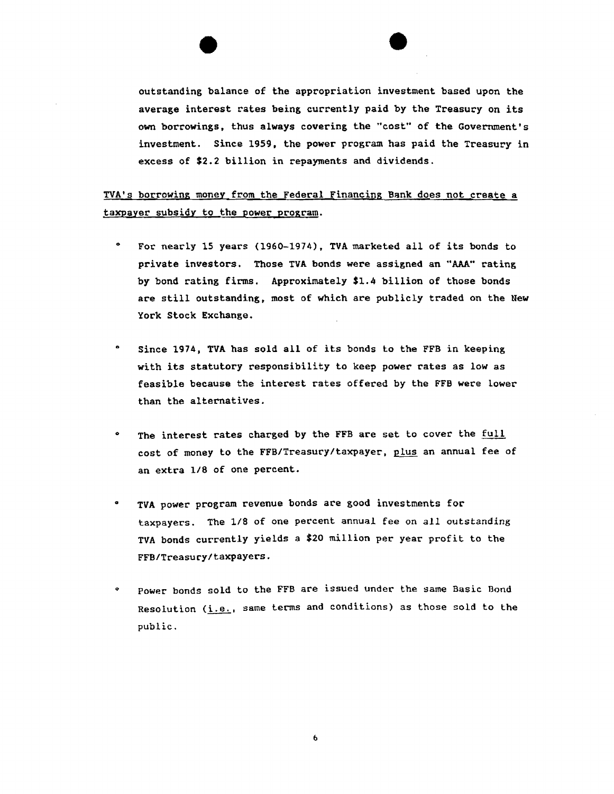outstanding balance of the appropriation investment based upon the average interest rates being currently paid by the Treasury on its own borrowings, thus always covering the "cost" of the Government's investment. Since 1959, the power program has paid the Treasury in excess of \$2.2 billion in repayments and dividends.

TVA's borrowing money from the Federal Financing Bank does not create a taxpayer subsidy to the power program.

- 0 For nearly 15 years (1960-1974), TVA marketed all of its bonds to private investors. Those TVA bonds were assigned an "AAA" rating by bond rating firms. Approximately \$1.4 billion of those bonds are still outstanding, most of which are publicly traded on the New York Stock Exchange.
- Since 1974, TVA has sold all of its bonds to the FFB in keeping with its statutory responsibility to keep power rates as low as feasible because the interest rates offered by the FFB were lower than the alternatives.
- The interest rates charged by the FFB are set to cover the full cost of money to the FFB/Treasury/taxpayer, plus an annual fee of an extra 1/8 of one percent.
- TVA power program revenue bonds are good investments for taxpayers. The 1/8 of one percent annual fee on all outstanding TVA bonds currently yields a \$20 million per year profit to the FFB/Treasury/taxpayers.
- o Power bonds sold to the FFB are issued under the same Basic Bond Resolution (i.e., same terms and conditions) as those sold to the public.

 $\mathbf 6$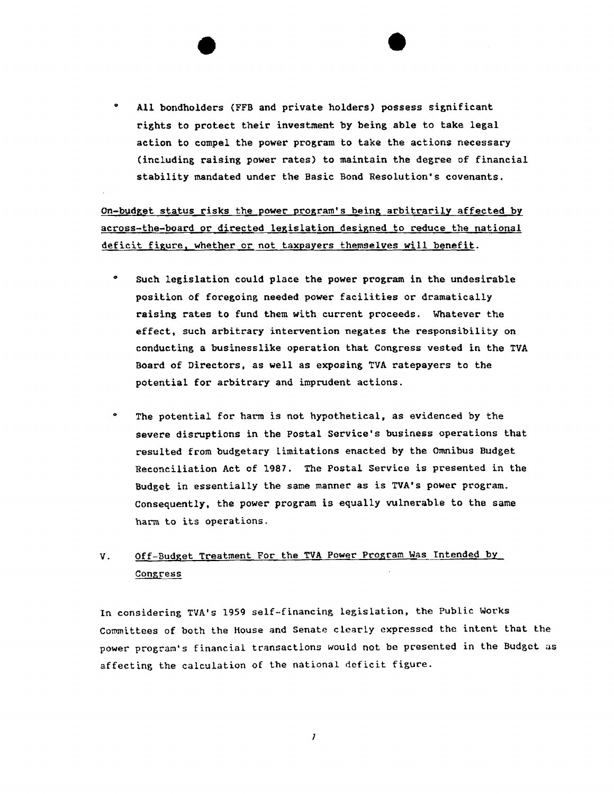All bondholders (FFB and private holders) possess significant rights to protect their investment by being able to take legal action to compel the power program to take the actions necessary (including raising power rates) to maintain the degree of financial stability mandated under the Basic Bond Resolution's covenants.

on-budget status risks the power program's being arbitrarily affected by across-the-board or directed legislation designed to reduce the national deficit figure, whether or not taxpayers themselves will benefit.

- 0 Such legislation could place the power program in the undesirable position of foregoing needed power facilities or dramatically raising rates to fund them with current proceeds. Whatever the effect, such arbitrary intervention negates the responsibility on conducting a businesslike operation that Congress vested in the TVA Board of Directors, as well as exposing TVA ratepayers to the potential for arbitrary and imprudent actions.
- 0 The potential for harm is *not* hypothetical, as evidenced by the severe disruptions in the Postal Service's business operations that resulted from budgetary limitations enacted by the Omnibus Budget Reconciliation Act of 1987. The Postal Service is presented in the Budget in essentially the same manner as is TVA's power program. Consequently, the power program is equally vulnerable to the same harm to its operations.

## V. Off-Budget Treatment For the TVA Power Program Was Intended by **Congress**

In considering TVA's 1959 self-financing legislation, the Public Works Committees of both the House and Senate clcarty expressed the intent that the power program's financial transactions would not be presented in the Budget as affecting the calculation of the national deficit figure.

 $\mathcal I$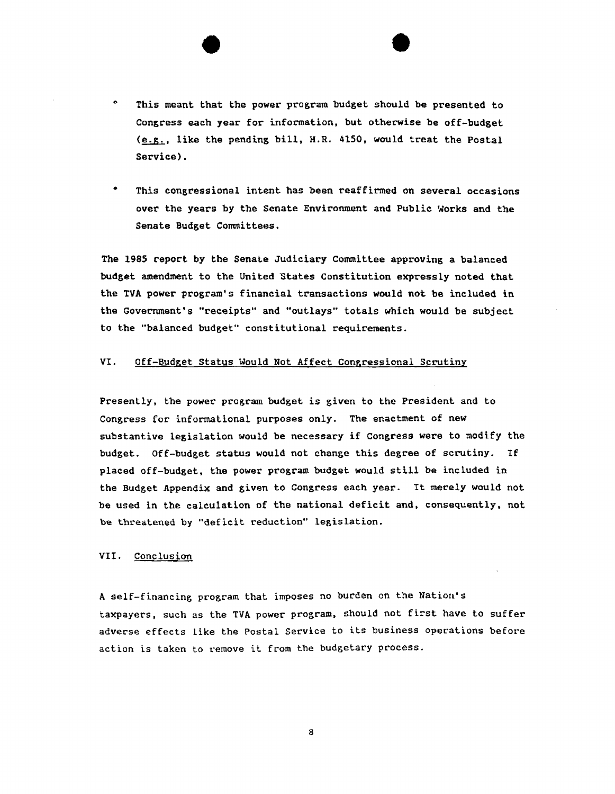- $\bullet$ This meant that the power program budget should be presented to Congress each year for information, but otherwise be off-budget  $(e.g.,$  like the pending bill, H.R. 4150, would treat the Postal Service).
- This congressional intent has been reaffirmed on several occasions over the years by the Senate Environment and Public Works and the Senate Budget Committees.

The 1985 report by the Senate Judiciary Committee approving a balanced budget amendment to the United States Constitution expressly noted that the TVA power program's financial transactions would not be included in the Government's "receipts" and "outlays" totals which would be subject to the "balanced budget" constitutional requirements.

#### VI. Off-Budget Status Would Not Affect Congressional Scrutiny

Presently, the power program budget is given to the President and to Congress for informational purposes only. The enactment of new substantive legislation would be necessary if Congress were to modify the budget. Off-budget status would not change this degree of scrutiny. If placed off-budget, the power program budget would still be included in the Budget Appendix and given to Congress each year. It merely would not be used in the calculation of the national deficit and, consequently, not be threatened by "deficit reduction" legislation.

#### VII. Conclusion

A self-financing program that imposes no burden on the Nation's taxpayers, such as the TVA power program. should not first have to suffer adverse effects like the Postal Service to its business operations before action is taken to remove it from the budgetary process.